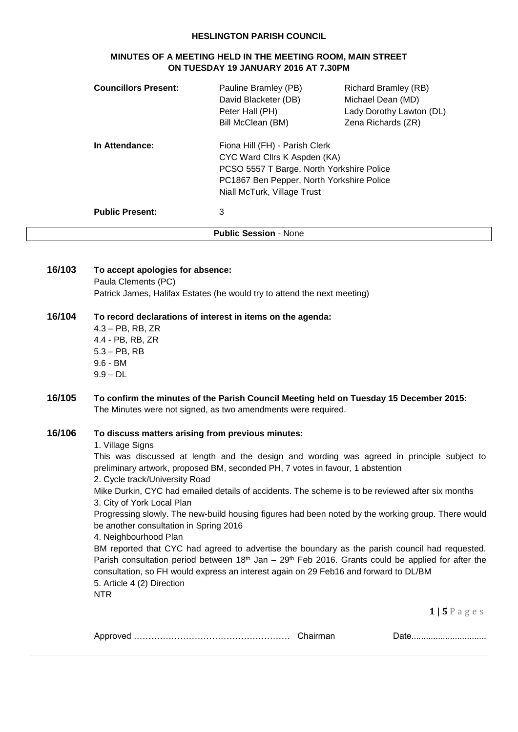#### **HESLINGTON PARISH COUNCIL**

#### **MINUTES OF A MEETING HELD IN THE MEETING ROOM, MAIN STREET ON TUESDAY 19 JANUARY 2016 AT 7.30PM**

| <b>Councillors Present:</b> | Pauline Bramley (PB)<br>David Blacketer (DB)<br>Peter Hall (PH)<br>Bill McClean (BM)                                                                                                    | Richard Bramley (RB)<br>Michael Dean (MD)<br>Lady Dorothy Lawton (DL)<br>Zena Richards (ZR) |
|-----------------------------|-----------------------------------------------------------------------------------------------------------------------------------------------------------------------------------------|---------------------------------------------------------------------------------------------|
| In Attendance:              | Fiona Hill (FH) - Parish Clerk<br>CYC Ward Cllrs K Aspden (KA)<br>PCSO 5557 T Barge, North Yorkshire Police<br>PC1867 Ben Pepper, North Yorkshire Police<br>Niall McTurk, Village Trust |                                                                                             |
| <b>Public Present:</b>      | 3                                                                                                                                                                                       |                                                                                             |
|                             | <b>Public Session - None</b>                                                                                                                                                            |                                                                                             |

**16/103 To accept apologies for absence:** Paula Clements (PC) Patrick James, Halifax Estates (he would try to attend the next meeting) **16/104 To record declarations of interest in items on the agenda:** 4.3 – PB, RB, ZR 4.4 - PB, RB, ZR 5.3 – PB, RB 9.6 - BM 9.9 – DL **16/105 To confirm the minutes of the Parish Council Meeting held on Tuesday 15 December 2015:** The Minutes were not signed, as two amendments were required.

#### **16/106 To discuss matters arising from previous minutes:**

#### 1. Village Signs

This was discussed at length and the design and wording was agreed in principle subject to preliminary artwork, proposed BM, seconded PH, 7 votes in favour, 1 abstention 2. Cycle track/University Road

Mike Durkin, CYC had emailed details of accidents. The scheme is to be reviewed after six months 3. City of York Local Plan

Progressing slowly. The new-build housing figures had been noted by the working group. There would be another consultation in Spring 2016

4. Neighbourhood Plan

BM reported that CYC had agreed to advertise the boundary as the parish council had requested. Parish consultation period between  $18<sup>th</sup>$  Jan – 29<sup>th</sup> Feb 2016. Grants could be applied for after the consultation, so FH would express an interest again on 29 Feb16 and forward to DL/BM 5. Article 4 (2) Direction

NTR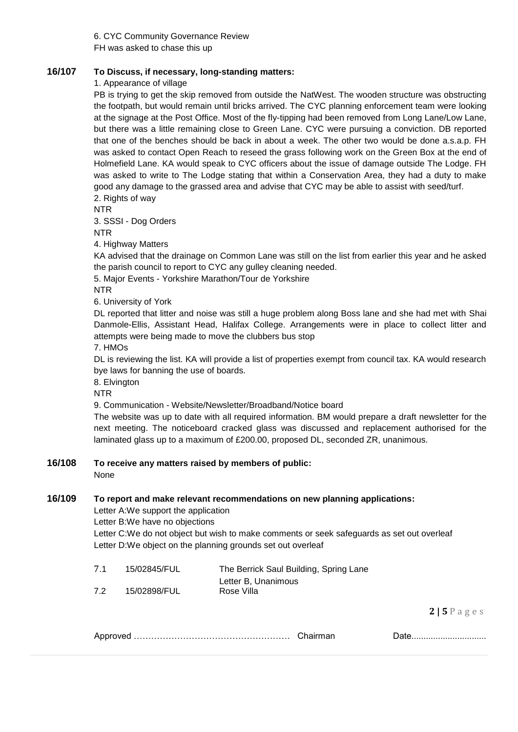6. CYC Community Governance Review FH was asked to chase this up

# **16/107 To Discuss, if necessary, long-standing matters:**

1. Appearance of village

PB is trying to get the skip removed from outside the NatWest. The wooden structure was obstructing the footpath, but would remain until bricks arrived. The CYC planning enforcement team were looking at the signage at the Post Office. Most of the fly-tipping had been removed from Long Lane/Low Lane, but there was a little remaining close to Green Lane. CYC were pursuing a conviction. DB reported that one of the benches should be back in about a week. The other two would be done a.s.a.p. FH was asked to contact Open Reach to reseed the grass following work on the Green Box at the end of Holmefield Lane. KA would speak to CYC officers about the issue of damage outside The Lodge. FH was asked to write to The Lodge stating that within a Conservation Area, they had a duty to make good any damage to the grassed area and advise that CYC may be able to assist with seed/turf. 2. Rights of way

NTR

3. SSSI - Dog Orders

NTR

4. Highway Matters

KA advised that the drainage on Common Lane was still on the list from earlier this year and he asked the parish council to report to CYC any gulley cleaning needed.

5. Major Events - Yorkshire Marathon/Tour de Yorkshire

NTR

6. University of York

DL reported that litter and noise was still a huge problem along Boss lane and she had met with Shai Danmole-Ellis, Assistant Head, Halifax College. Arrangements were in place to collect litter and attempts were being made to move the clubbers bus stop

7. HMOs

DL is reviewing the list. KA will provide a list of properties exempt from council tax. KA would research bye laws for banning the use of boards.

8. Elvington

NTR

9. Communication - Website/Newsletter/Broadband/Notice board

The website was up to date with all required information. BM would prepare a draft newsletter for the next meeting. The noticeboard cracked glass was discussed and replacement authorised for the laminated glass up to a maximum of £200.00, proposed DL, seconded ZR, unanimous.

#### **16/108 To receive any matters raised by members of public:**

None

#### **16/109 To report and make relevant recommendations on new planning applications:**

Letter A:We support the application

Letter B:We have no objections

Letter C:We do not object but wish to make comments or seek safeguards as set out overleaf Letter D:We object on the planning grounds set out overleaf

| 7.1 | 15/02845/FUL | The Berrick Saul Building, Spring Lane |
|-----|--------------|----------------------------------------|
|     |              | Letter B, Unanimous                    |
| 7.2 | 15/02898/FUL | Rose Villa                             |

| v |  |  |
|---|--|--|
|---|--|--|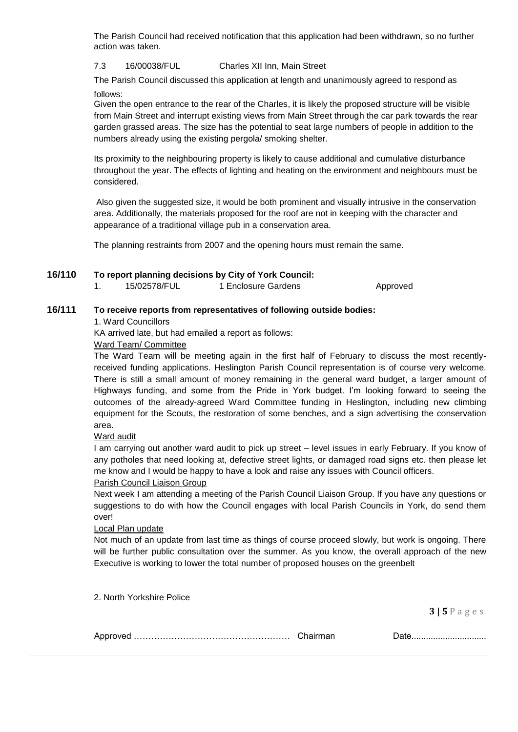The Parish Council had received notification that this application had been withdrawn, so no further action was taken.

## 7.3 16/00038/FUL Charles XII Inn, Main Street

The Parish Council discussed this application at length and unanimously agreed to respond as follows:

Given the open entrance to the rear of the Charles, it is likely the proposed structure will be visible from Main Street and interrupt existing views from Main Street through the car park towards the rear garden grassed areas. The size has the potential to seat large numbers of people in addition to the numbers already using the existing pergola/ smoking shelter.

Its proximity to the neighbouring property is likely to cause additional and cumulative disturbance throughout the year. The effects of lighting and heating on the environment and neighbours must be considered.

Also given the suggested size, it would be both prominent and visually intrusive in the conservation area. Additionally, the materials proposed for the roof are not in keeping with the character and appearance of a traditional village pub in a conservation area.

The planning restraints from 2007 and the opening hours must remain the same.

## **16/110 To report planning decisions by City of York Council:**

1. 15/02578/FUL 1 Enclosure Gardens Approved

# **16/111 To receive reports from representatives of following outside bodies:**

1. Ward Councillors

KA arrived late, but had emailed a report as follows:

Ward Team/ Committee

The Ward Team will be meeting again in the first half of February to discuss the most recentlyreceived funding applications. Heslington Parish Council representation is of course very welcome. There is still a small amount of money remaining in the general ward budget, a larger amount of Highways funding, and some from the Pride in York budget. I'm looking forward to seeing the outcomes of the already-agreed Ward Committee funding in Heslington, including new climbing equipment for the Scouts, the restoration of some benches, and a sign advertising the conservation area.

Ward audit

I am carrying out another ward audit to pick up street – level issues in early February. If you know of any potholes that need looking at, defective street lights, or damaged road signs etc. then please let me know and I would be happy to have a look and raise any issues with Council officers.

#### Parish Council Liaison Group

Next week I am attending a meeting of the Parish Council Liaison Group. If you have any questions or suggestions to do with how the Council engages with local Parish Councils in York, do send them over!

#### Local Plan update

Not much of an update from last time as things of course proceed slowly, but work is ongoing. There will be further public consultation over the summer. As you know, the overall approach of the new Executive is working to lower the total number of proposed houses on the greenbelt

2. North Yorkshire Police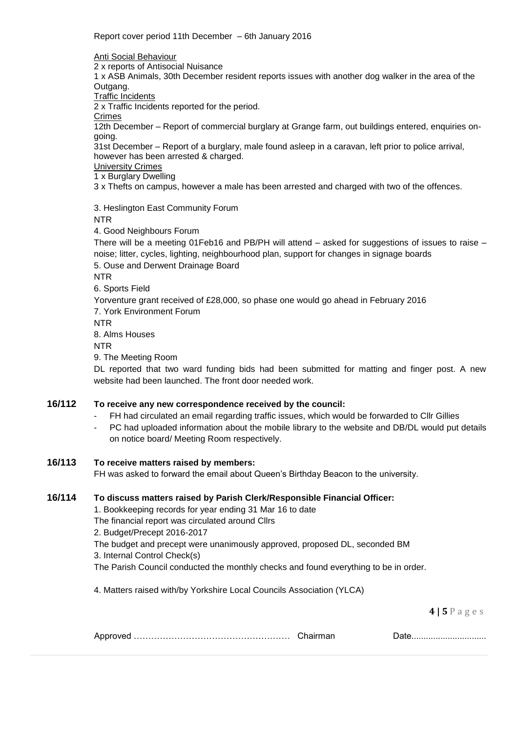Report cover period 11th December – 6th January 2016

Anti Social Behaviour

2 x reports of Antisocial Nuisance

1 x ASB Animals, 30th December resident reports issues with another dog walker in the area of the Outgang.

Traffic Incidents

2 x Traffic Incidents reported for the period.

Crimes

12th December – Report of commercial burglary at Grange farm, out buildings entered, enquiries ongoing.

31st December – Report of a burglary, male found asleep in a caravan, left prior to police arrival, however has been arrested & charged.

University Crimes

1 x Burglary Dwelling

3 x Thefts on campus, however a male has been arrested and charged with two of the offences.

3. Heslington East Community Forum

NTR

4. Good Neighbours Forum

There will be a meeting 01Feb16 and PB/PH will attend – asked for suggestions of issues to raise – noise; litter, cycles, lighting, neighbourhood plan, support for changes in signage boards 5. Ouse and Derwent Drainage Board

NTR

6. Sports Field

Yorventure grant received of £28,000, so phase one would go ahead in February 2016 7. York Environment Forum NTR

8. Alms Houses

NTR

9. The Meeting Room

DL reported that two ward funding bids had been submitted for matting and finger post. A new website had been launched. The front door needed work.

# **16/112 To receive any new correspondence received by the council:**

- FH had circulated an email regarding traffic issues, which would be forwarded to Cllr Gillies
- PC had uploaded information about the mobile library to the website and DB/DL would put details on notice board/ Meeting Room respectively.

# **16/113 To receive matters raised by members:**

FH was asked to forward the email about Queen's Birthday Beacon to the university.

# **16/114 To discuss matters raised by Parish Clerk/Responsible Financial Officer:**

1. Bookkeeping records for year ending 31 Mar 16 to date

The financial report was circulated around Cllrs

2. Budget/Precept 2016-2017

The budget and precept were unanimously approved, proposed DL, seconded BM

3. Internal Control Check(s)

The Parish Council conducted the monthly checks and found everything to be in order.

4. Matters raised with/by Yorkshire Local Councils Association (YLCA)

|  |  | .w |
|--|--|----|
|--|--|----|